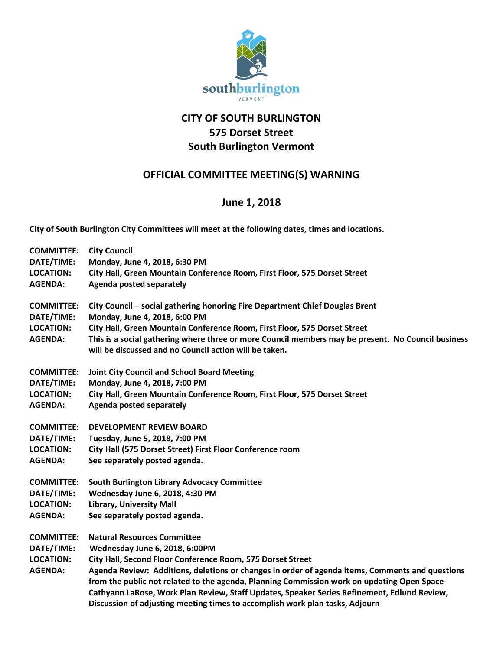

## **CITY OF SOUTH BURLINGTON 575 Dorset Street South Burlington Vermont**

## **OFFICIAL COMMITTEE MEETING(S) WARNING**

## **June 1, 2018**

**City of South Burlington City Committees will meet at the following dates, times and locations.** 

| <b>COMMITTEE:</b> | <b>City Council</b>                                                                                                                                          |
|-------------------|--------------------------------------------------------------------------------------------------------------------------------------------------------------|
| DATE/TIME:        | Monday, June 4, 2018, 6:30 PM                                                                                                                                |
| <b>LOCATION:</b>  | City Hall, Green Mountain Conference Room, First Floor, 575 Dorset Street                                                                                    |
| <b>AGENDA:</b>    | <b>Agenda posted separately</b>                                                                                                                              |
| <b>COMMITTEE:</b> | City Council - social gathering honoring Fire Department Chief Douglas Brent                                                                                 |
| DATE/TIME:        | Monday, June 4, 2018, 6:00 PM                                                                                                                                |
| <b>LOCATION:</b>  | City Hall, Green Mountain Conference Room, First Floor, 575 Dorset Street                                                                                    |
| <b>AGENDA:</b>    | This is a social gathering where three or more Council members may be present. No Council business<br>will be discussed and no Council action will be taken. |
| <b>COMMITTEE:</b> | <b>Joint City Council and School Board Meeting</b>                                                                                                           |
| DATE/TIME:        | Monday, June 4, 2018, 7:00 PM                                                                                                                                |
| <b>LOCATION:</b>  | City Hall, Green Mountain Conference Room, First Floor, 575 Dorset Street                                                                                    |
| <b>AGENDA:</b>    | <b>Agenda posted separately</b>                                                                                                                              |
| <b>COMMITTEE:</b> | <b>DEVELOPMENT REVIEW BOARD</b>                                                                                                                              |
| DATE/TIME:        | Tuesday, June 5, 2018, 7:00 PM                                                                                                                               |
| <b>LOCATION:</b>  | City Hall (575 Dorset Street) First Floor Conference room                                                                                                    |
| <b>AGENDA:</b>    | See separately posted agenda.                                                                                                                                |
| <b>COMMITTEE:</b> | <b>South Burlington Library Advocacy Committee</b>                                                                                                           |
| DATE/TIME:        | Wednesday June 6, 2018, 4:30 PM                                                                                                                              |
| <b>LOCATION:</b>  | <b>Library, University Mall</b>                                                                                                                              |
| <b>AGENDA:</b>    | See separately posted agenda.                                                                                                                                |
| <b>COMMITTEE:</b> | <b>Natural Resources Committee</b>                                                                                                                           |
| DATE/TIME:        | Wednesday June 6, 2018, 6:00PM                                                                                                                               |
| <b>LOCATION:</b>  | City Hall, Second Floor Conference Room, 575 Dorset Street                                                                                                   |
| <b>AGENDA:</b>    | Agenda Review: Additions, deletions or changes in order of agenda items, Comments and questions                                                              |
|                   | from the public not related to the agenda, Planning Commission work on updating Open Space-                                                                  |
|                   | Cathyann LaRose, Work Plan Review, Staff Updates, Speaker Series Refinement, Edlund Review,                                                                  |
|                   | Discussion of adjusting meeting times to accomplish work plan tasks, Adjourn                                                                                 |